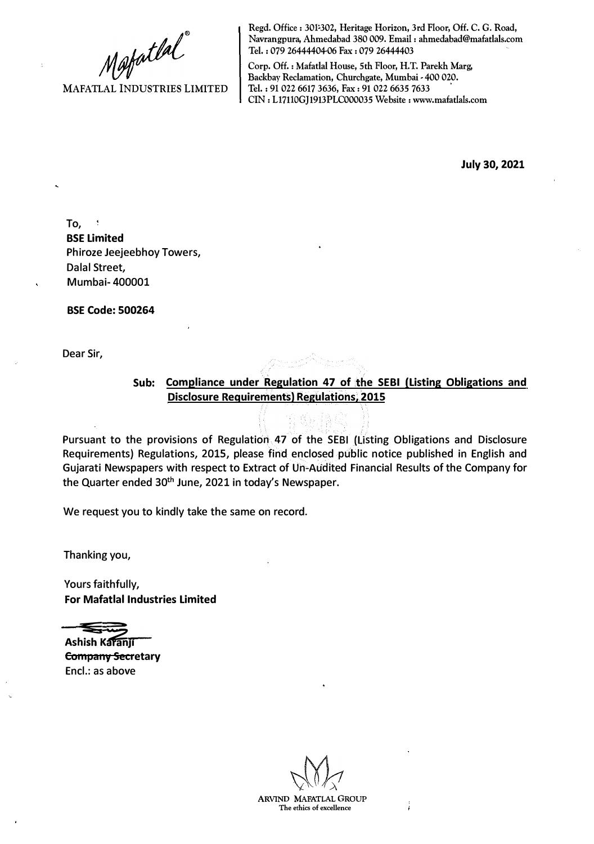Mafatlal

MAFATLAL INDUSTRIES LIMITED

Regd. Office: 301-302, Heritage Horizon, 3rd Floor, Off. C. G. Road, Navrangpura, Ahmedabad 380 009. Email: ahmedabad@mafatlals.com Tel. : 079 26444404-06 Fax : 079 26444403

Corp. Off.: Mafatlal House, 5th Floor, H.T. Parekh Marg, Backbay Reclamation, Churchgate, Mumbai • 400 020. Tel. : 91 022 6617 3636, Fax: 91 022 6635 7633 CIN : Ll7110GJ1913PLC000035 Website : www.mafatlals.com

**July 30, 2021**

To, **BSE Limited** Phiroze Jeejeebhoy Towers, Dalal Street, Mumbai- 400001

**BSE Code: 500264**

Dear Sir,

**Sub: Compliance under Regulation 47 of the SEBI (Listing Obligations and Disclosure Requirements) Regulations, 2015** 

Pursuant to the provisions of Regulation 47 of the SEBI (Listing Obligations and Disclosure Requirements) Regulations, 2015, please find enclosed public notice published in English and Gujarati Newspapers with respect to Extract of Un-Audited Financial Results of the Company for the Quarter ended 30**th** June, 2021 in today's Newspaper.

We request you to kindly take the same on record.

Thanking you,

Yours faithfully, **For Mafatlal Industries Limited**

**Ashish Karanji Company Secretary**

Encl.: as above

**ARVIND MAFATLAL GROUP The ethics of excellence**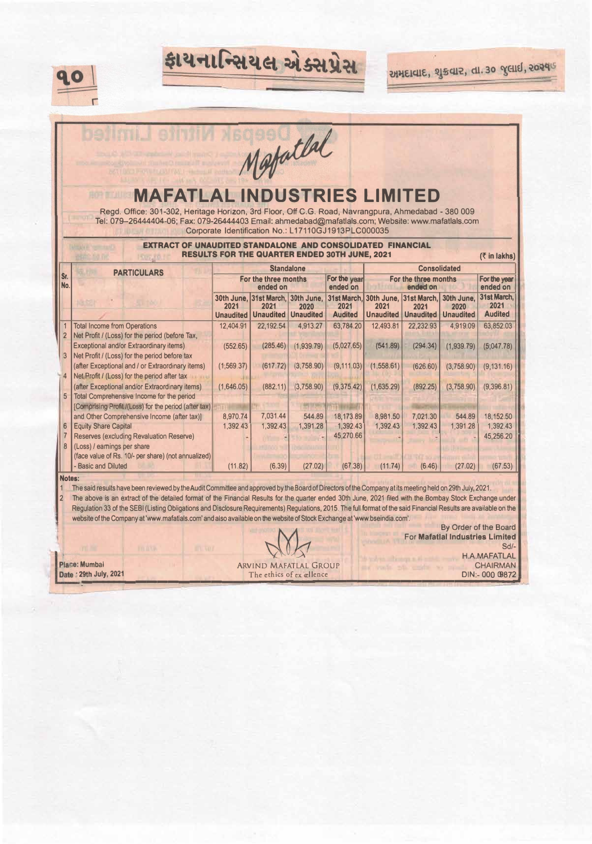

**BOR BILLI** 

Mestatlal

ફાયનાન્સિયલ એક્સપ્રેસ

## **MAFATLAL INDUSTRIES LIMITED**

Regd. Office: 301-302, Heritage Horizon, 3rd Floor, Off C. G. Road, Navrangpura, Ahmadabad - 380 009 Tel: 079-2 6444404-06; Fax: 079-26444403 Email: ahmedabad@mafaUals.com; **Website:** www.mafatlals.com Corporate Identification No.: L17110GJ1913PLC000035

## **EXTRACT OF UNAUDITED STANDALONE AND CONSOLIDATED FINANCIAL RESULTS FOR THE QUARTER ENDED 30TH JUNE, 2021** (*T* in lakhs)

|                | <b>PARTICULARS</b>                                    | <b>Standalone</b>                |                                           |                  |                          | <b>Consolidated</b>              |                                            |                    |                          |
|----------------|-------------------------------------------------------|----------------------------------|-------------------------------------------|------------------|--------------------------|----------------------------------|--------------------------------------------|--------------------|--------------------------|
| Sr.<br>No.     |                                                       | For the three months<br>ended on |                                           |                  | For the year<br>ended on | For the three months<br>ended on |                                            |                    | For the year<br>ended on |
|                |                                                       | 2021                             | 30th June, 31st March, 30th June,<br>2021 | 2020             | 2021                     | 2021                             | 31st March, 30th June, 31st March,<br>2021 | 30th June.<br>2020 | 31st March.<br>2021      |
|                |                                                       | <b>Unaudited</b>                 | <b>Unaudited</b>                          | <b>Unaudited</b> | <b>Audited</b>           | <b>Unaudited</b>                 | <b>Unaudited</b>                           | <b>Unaudited</b>   | <b>Audited</b>           |
|                | <b>Total Income from Operations</b>                   | 12,404.91                        | 22.192.54                                 | 4,913.27         | 63,784.20                | 12,493.81                        | 22.232.93                                  | 4.919.09           | 63,852.03                |
| $\overline{2}$ | Net Profit / (Loss) for the period (before Tax,       |                                  |                                           |                  |                          |                                  |                                            |                    |                          |
|                | <b>Exceptional and/or Extraordinary items)</b>        | (552.65)                         | (285.46)                                  | (1.939.79)       | (5,027.65)               | (541.89)                         | (294.34)                                   | (1,939.79)         | (5,047.78)               |
| 3              | Net Profit / (Loss) for the period before tax         |                                  |                                           |                  |                          |                                  |                                            |                    |                          |
|                | (after Exceptional and / or Extraordinary items)      | (1,569.37)                       | (617.72)                                  | (3,758.90)       | (9, 111.03)              | (1,558.61)                       | (626.60)                                   | (3,758.90)         | (9, 131.16)              |
|                | Net Profit / (Loss) for the period after tax          |                                  |                                           |                  |                          |                                  |                                            |                    |                          |
|                | (after Exceptional and/or Extraordinary items)        | (1,646.05)                       | (882.11)                                  | (3,758.90)       | (9,375.42)               | (1,635.29)                       | (892.25)                                   | (3,758.90)         | (9,396.81)               |
| 5              | Total Comprehensive Income for the period             |                                  |                                           |                  |                          |                                  |                                            |                    |                          |
|                | [Comprising Profit /(Loss) for the period (after tax) |                                  |                                           |                  |                          |                                  |                                            |                    |                          |
|                | and Other Comprehensive Income (after tax)]           | 8,970.74                         | 7,031.44                                  | 544.89           | 18,173.89                | 8,981.50                         | 7,021.30                                   | 544.89             | 18,152.50                |
| 6              | <b>Equity Share Capital</b>                           | 1,392.43                         | 1,392.43                                  | 1,391.28         | 1,392.43                 | 1,392.43                         | 1,392.43                                   | 1,391.28           | 1,392.43                 |
|                | Reserves (excluding Revaluation Reserve)              |                                  |                                           |                  | 45,270.66                |                                  |                                            |                    | 45,256.20                |
| 8              | (Loss) / earnings per share                           |                                  |                                           |                  |                          |                                  |                                            |                    |                          |
|                | (face value of Rs. 10/- per share) (not annualized)   |                                  |                                           |                  |                          |                                  |                                            |                    |                          |
|                | - Basic and Diluted                                   | (11.82)                          | (6.39)                                    | (27.02)          | (67.38)                  | (11.74)                          | (6.46)                                     | (27.02)            | (67.53)                  |

## **Notes:**

1 The said results have been reviewed by the Audit Committee and approved by the Board of Directors of the Company at its meeting held on 29th July, 2021.<br>2 The above is an extract of the detailed format of the Financial R 2 The above is an extract of the detailed format of the Financial Results for the quarter ended 30th June, 2021 filed with the Bombay Stock Exchange under Regulation 33 of the SEBI (Listing Obligations and Disclosure Requirements) Regulations, 2015. The full format of the said Financial Results are available on the website of the Company at 'www.mafatlals.com' and also available on the website of Stock Exchange at 'www.bseindia.com'.

Place: Mumbai Date: 29th July, 2021

**ARVIND MAFATLAL GROUP** The ethics of ex ællence

By Order of the Board For **Mafatlal Industries Limited** Sd/- *>.* H.A.MAFATLAL ll=::en:-ce""==������=�==�D�IN:�- 000 09872